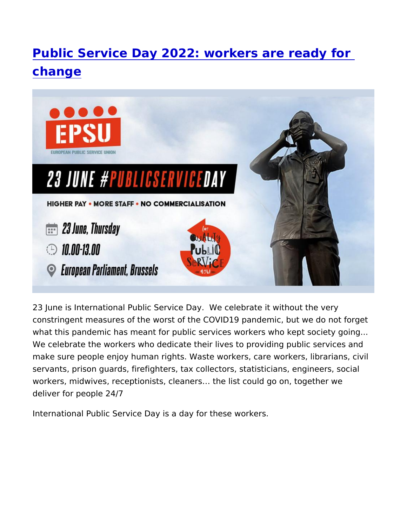[Public Service Day 2022: workers are](https://www.epsu.org/article/public-service-day-2022-workers-are-ready-change) ready [chang](https://www.epsu.org/article/public-service-day-2022-workers-are-ready-change)e

23 June is International Public Service Day. We celebrate it with constringent measures of the worst of the COVID19 pandemic, but what this pandemic has meant for public services workers who ke We celebrate the workers who dedicate their lives to providing pu make sure people enjoy human rights. Waste workers, care worke servants, prison guards, firefighters, tax collectors, statisticians workers, midwives, receptionists, cleaners& the list could go on, deliver for people 24/7

International Public Service Day is a day for these workers.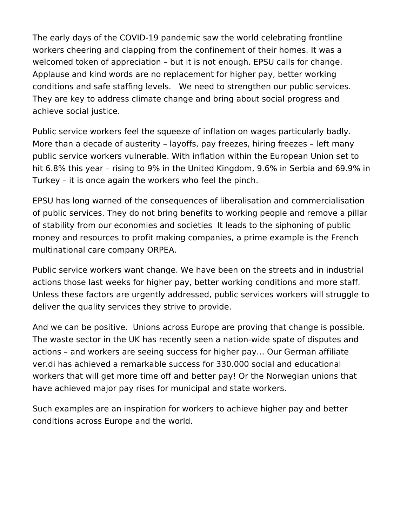The early days of the COVID-19 pandemic saw the world celebrating frontline workers cheering and clapping from the confinement of their homes. It was a welcomed token of appreciation – but it is not enough. EPSU calls for change. Applause and kind words are no replacement for higher pay, better working conditions and safe staffing levels. We need to strengthen our public services. They are key to address climate change and bring about social progress and achieve social justice.

Public service workers feel the squeeze of inflation on wages particularly badly. More than a decade of austerity – layoffs, pay freezes, hiring freezes – left many public service workers vulnerable. With inflation within the European Union set to hit 6.8% this year – rising to 9% in the United Kingdom, 9.6% in Serbia and 69.9% in Turkey – it is once again the workers who feel the pinch.

EPSU has long warned of the consequences of liberalisation and commercialisation of public services. They do not bring benefits to working people and remove a pillar of stability from our economies and societies It leads to the siphoning of public money and resources to profit making companies, a prime example is the French multinational care company ORPEA.

Public service workers want change. We have been on the streets and in industrial actions those last weeks for higher pay, better working conditions and more staff. Unless these factors are urgently addressed, public services workers will struggle to deliver the quality services they strive to provide.

And we can be positive. Unions across Europe are proving that change is possible. The waste sector in the UK has recently seen a nation-wide spate of disputes and actions – and workers are seeing success for higher pay… Our German affiliate ver.di has achieved a remarkable success for 330.000 social and educational workers that will get more time off and better pay! Or the Norwegian unions that have achieved major pay rises for municipal and state workers.

Such examples are an inspiration for workers to achieve higher pay and better conditions across Europe and the world.